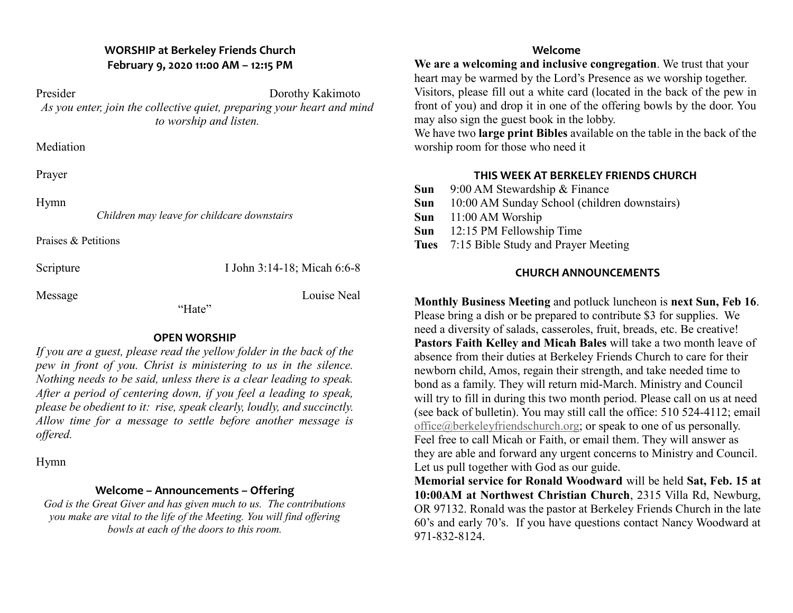# **WORSHIP at Berkeley Friends Church February 9, 2020 11:00 AM – 12:15 PM**

Presider Dorothy Kakimoto *As you enter, join the collective quiet, preparing your heart and mind to worship and listen.*

**Mediation** 

Prayer

Hymn

*Children may leave for childcare downstairs*

Praises & Petitions

Scripture I John 3:14-18; Micah 6:6-8

Message Louise Neal

"Hate"

# **OPEN WORSHIP**

*If you are a guest, please read the yellow folder in the back of the pew in front of you. Christ is ministering to us in the silence. Nothing needs to be said, unless there is a clear leading to speak. After a period of centering down, if you feel a leading to speak, please be obedient to it: rise, speak clearly, loudly, and succinctly. Allow time for a message to settle before another message is offered.*

Hymn

# **Welcome – Announcements – Offering**

*God is the Great Giver and has given much to us. The contributions you make are vital to the life of the Meeting. You will find offering bowls at each of the doors to this room.*

### **Welcome**

**We are a welcoming and inclusive congregation**. We trust that your heart may be warmed by the Lord's Presence as we worship together. Visitors, please fill out a white card (located in the back of the pew in front of you) and drop it in one of the offering bowls by the door. You may also sign the guest book in the lobby.

We have two **large print Bibles** available on the table in the back of the worship room for those who need it

## **THIS WEEK AT BERKELEY FRIENDS CHURCH**

- **Sun** 9:00 AM Stewardship & Finance
- **Sun** 10:00 AM Sunday School (children downstairs)
- **Sun** 11:00 AM Worship
- **Sun** 12:15 PM Fellowship Time
- **Tues** 7:15 Bible Study and Prayer Meeting

# **CHURCH ANNOUNCEMENTS**

**Monthly Business Meeting** and potluck luncheon is **next Sun, Feb 16**. Please bring a dish or be prepared to contribute \$3 for supplies. We need a diversity of salads, casseroles, fruit, breads, etc. Be creative! **Pastors Faith Kelley and Micah Bales** will take a two month leave of absence from their duties at Berkeley Friends Church to care for their newborn child, Amos, regain their strength, and take needed time to bond as a family. They will return mid-March. Ministry and Council will try to fill in during this two month period. Please call on us at need (see back of bulletin). You may still call the office: 510 524-4112; email office@berkeleyfriendschurch.org; or speak to one of us personally. Feel free to call Micah or Faith, or email them. They will answer as they are able and forward any urgent concerns to Ministry and Council. Let us pull together with God as our guide.

**Memorial service for Ronald Woodward** will be held **Sat, Feb. 15 at 10:00AM at Northwest Christian Church**, 2315 Villa Rd, Newburg, OR 97132. Ronald was the pastor at Berkeley Friends Church in the late 60's and early 70's. If you have questions contact Nancy Woodward at 971-832-8124.